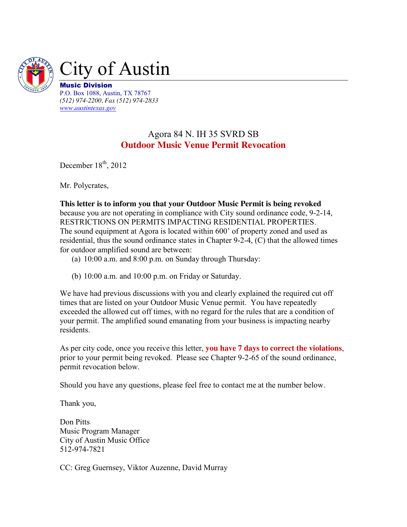

*(512) 974-2200, Fax (512) 974-2833 [www.austintexas.gov](http://www.austintexas.gov/)*

## Agora 84 N. IH 35 SVRD SB **Outdoor Music Venue Permit Revocation**

December  $18<sup>th</sup>$ , 2012

Mr. Polycrates,

**This letter is to inform you that your Outdoor Music Permit is being revoked** because you are not operating in compliance with City sound ordinance code, 9-2-14, RESTRICTIONS ON PERMITS IMPACTING RESIDENTIAL PROPERTIES. The sound equipment at Agora is located within 600' of property zoned and used as residential, thus the sound ordinance states in Chapter 9-2-4, (C) that the allowed times for outdoor amplified sound are between:

- (a) 10:00 a.m. and 8:00 p.m. on Sunday through Thursday:
- (b) 10:00 a.m. and 10:00 p.m. on Friday or Saturday.

We have had previous discussions with you and clearly explained the required cut off times that are listed on your Outdoor Music Venue permit. You have repeatedly exceeded the allowed cut off times, with no regard for the rules that are a condition of your permit. The amplified sound emanating from your business is impacting nearby residents.

As per city code, once you receive this letter, **you have 7 days to correct the violations**, prior to your permit being revoked. Please see Chapter 9-2-65 of the sound ordinance, permit revocation below.

Should you have any questions, please feel free to contact me at the number below.

Thank you,

Don Pitts Music Program Manager City of Austin Music Office 512-974-7821

CC: Greg Guernsey, Viktor Auzenne, David Murray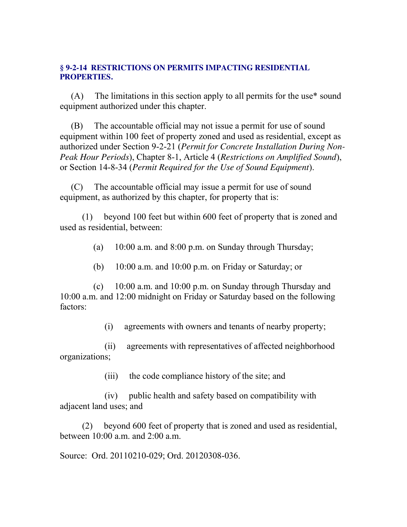## **§ 9-2-14 RESTRICTIONS ON PERMITS IMPACTING RESIDENTIAL PROPERTIES.**

(A) The limitations in this section apply to all permits for the use\* sound equipment authorized under this chapter.

(B) The accountable official may not issue a permit for use of sound equipment within 100 feet of property zoned and used as residential, except as authorized under Section 9-2-21 (*Permit for Concrete Installation During Non-Peak Hour Periods*), Chapter 8-1, Article 4 (*Restrictions on Amplified Sound*), or Section 14-8-34 (*Permit Required for the Use of Sound Equipment*).

(C) The accountable official may issue a permit for use of sound equipment, as authorized by this chapter, for property that is:

 (1) beyond 100 feet but within 600 feet of property that is zoned and used as residential, between:

(a) 10:00 a.m. and 8:00 p.m. on Sunday through Thursday;

(b) 10:00 a.m. and 10:00 p.m. on Friday or Saturday; or

 (c) 10:00 a.m. and 10:00 p.m. on Sunday through Thursday and 10:00 a.m. and 12:00 midnight on Friday or Saturday based on the following factors:

(i) agreements with owners and tenants of nearby property;

 (ii) agreements with representatives of affected neighborhood organizations;

(iii) the code compliance history of the site; and

 (iv) public health and safety based on compatibility with adjacent land uses; and

 (2) beyond 600 feet of property that is zoned and used as residential, between 10:00 a.m. and 2:00 a.m.

Source: Ord. 20110210-029; Ord. 20120308-036.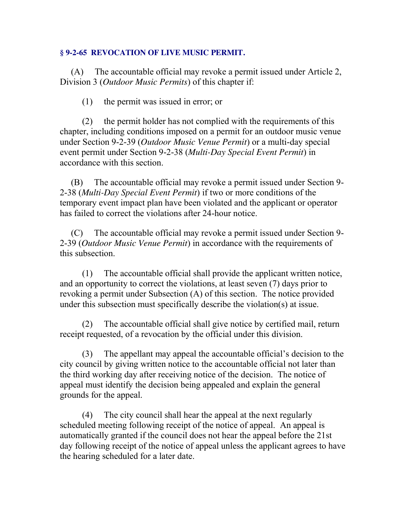## **§ 9-2-65 REVOCATION OF LIVE MUSIC PERMIT.**

(A) The accountable official may revoke a permit issued under Article 2, Division 3 (*Outdoor Music Permits*) of this chapter if:

(1) the permit was issued in error; or

 (2) the permit holder has not complied with the requirements of this chapter, including conditions imposed on a permit for an outdoor music venue under Section 9-2-39 (*Outdoor Music Venue Permit*) or a multi-day special event permit under Section 9-2-38 (*Multi-Day Special Event Permit*) in accordance with this section.

(B) The accountable official may revoke a permit issued under Section 9- 2-38 (*Multi-Day Special Event Permit*) if two or more conditions of the temporary event impact plan have been violated and the applicant or operator has failed to correct the violations after 24-hour notice.

(C) The accountable official may revoke a permit issued under Section 9- 2-39 (*Outdoor Music Venue Permit*) in accordance with the requirements of this subsection.

 (1) The accountable official shall provide the applicant written notice, and an opportunity to correct the violations, at least seven (7) days prior to revoking a permit under Subsection (A) of this section. The notice provided under this subsection must specifically describe the violation(s) at issue.

 (2) The accountable official shall give notice by certified mail, return receipt requested, of a revocation by the official under this division.

 (3) The appellant may appeal the accountable official's decision to the city council by giving written notice to the accountable official not later than the third working day after receiving notice of the decision. The notice of appeal must identify the decision being appealed and explain the general grounds for the appeal.

 (4) The city council shall hear the appeal at the next regularly scheduled meeting following receipt of the notice of appeal. An appeal is automatically granted if the council does not hear the appeal before the 21st day following receipt of the notice of appeal unless the applicant agrees to have the hearing scheduled for a later date.